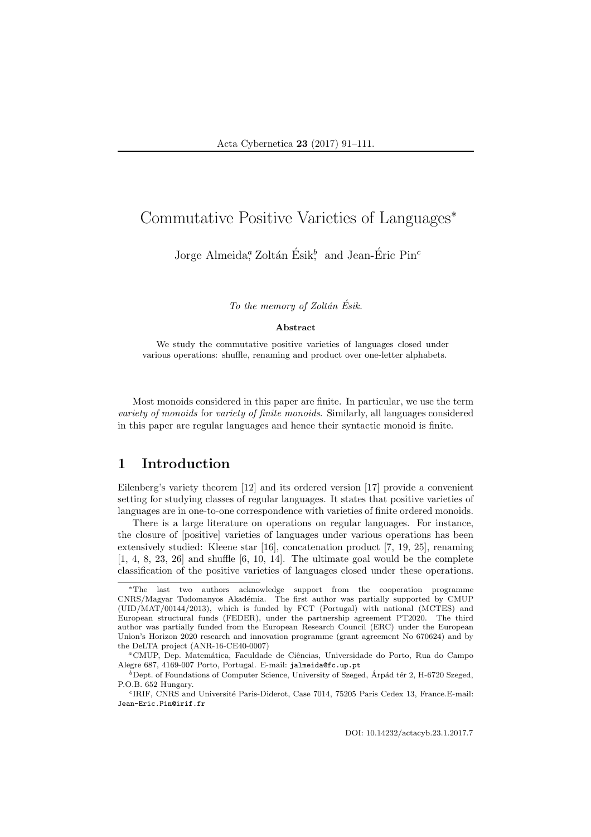# Commutative Positive Varieties of Languages<sup>∗</sup>

Jorge Almeida, Zoltán Ésik, and Jean-Éric Pin<sup>c</sup>

To the memory of Zoltán Ésik.

#### Abstract

We study the commutative positive varieties of languages closed under various operations: shuffle, renaming and product over one-letter alphabets.

Most monoids considered in this paper are finite. In particular, we use the term variety of monoids for variety of finite monoids. Similarly, all languages considered in this paper are regular languages and hence their syntactic monoid is finite.

## 1 Introduction

Eilenberg's variety theorem [12] and its ordered version [17] provide a convenient setting for studying classes of regular languages. It states that positive varieties of languages are in one-to-one correspondence with varieties of finite ordered monoids.

There is a large literature on operations on regular languages. For instance, the closure of [positive] varieties of languages under various operations has been extensively studied: Kleene star [16], concatenation product [7, 19, 25], renaming  $[1, 4, 8, 23, 26]$  and shuffle  $[6, 10, 14]$ . The ultimate goal would be the complete classification of the positive varieties of languages closed under these operations.

<sup>∗</sup>The last two authors acknowledge support from the cooperation programme CNRS/Magyar Tudomanyos Akadémia. The first author was partially supported by CMUP (UID/MAT/00144/2013), which is funded by FCT (Portugal) with national (MCTES) and European structural funds (FEDER), under the partnership agreement PT2020. The third author was partially funded from the European Research Council (ERC) under the European Union's Horizon 2020 research and innovation programme (grant agreement No 670624) and by the DeLTA project (ANR-16-CE40-0007)

<sup>&</sup>lt;sup>a</sup>CMUP, Dep. Matemática, Faculdade de Ciências, Universidade do Porto, Rua do Campo Alegre 687, 4169-007 Porto, Portugal. E-mail: jalmeida@fc.up.pt

 $b<sup>b</sup>$ Dept. of Foundations of Computer Science, University of Szeged, Árpád tér 2, H-6720 Szeged, P.O.B. 652 Hungary.

<sup>&</sup>lt;sup>c</sup>IRIF, CNRS and Université Paris-Diderot, Case 7014, 75205 Paris Cedex 13, France.E-mail: Jean-Eric.Pin@irif.fr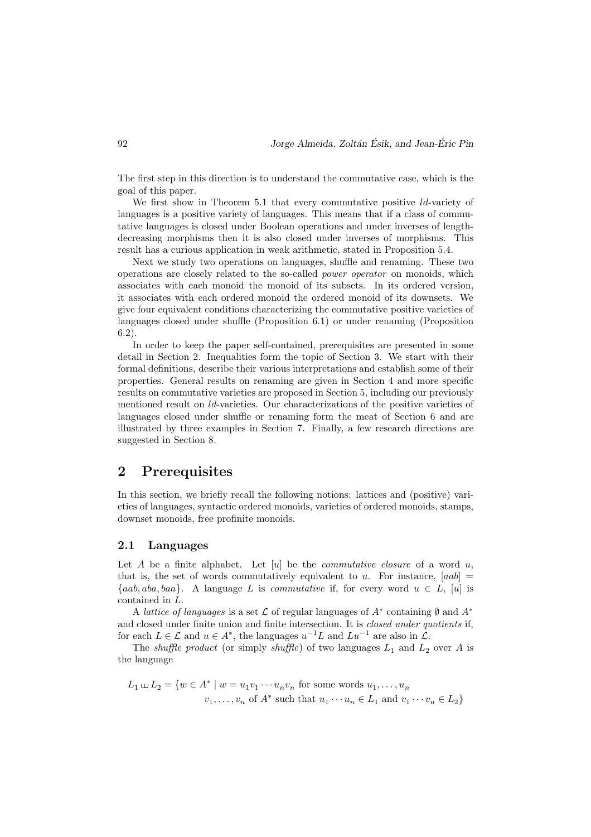The first step in this direction is to understand the commutative case, which is the goal of this paper.

We first show in Theorem 5.1 that every commutative positive ld-variety of languages is a positive variety of languages. This means that if a class of commutative languages is closed under Boolean operations and under inverses of lengthdecreasing morphisms then it is also closed under inverses of morphisms. This result has a curious application in weak arithmetic, stated in Proposition 5.4.

Next we study two operations on languages, shuffle and renaming. These two operations are closely related to the so-called power operator on monoids, which associates with each monoid the monoid of its subsets. In its ordered version, it associates with each ordered monoid the ordered monoid of its downsets. We give four equivalent conditions characterizing the commutative positive varieties of languages closed under shuffle (Proposition 6.1) or under renaming (Proposition 6.2).

In order to keep the paper self-contained, prerequisites are presented in some detail in Section 2. Inequalities form the topic of Section 3. We start with their formal definitions, describe their various interpretations and establish some of their properties. General results on renaming are given in Section 4 and more specific results on commutative varieties are proposed in Section 5, including our previously mentioned result on ld-varieties. Our characterizations of the positive varieties of languages closed under shuffle or renaming form the meat of Section 6 and are illustrated by three examples in Section 7. Finally, a few research directions are suggested in Section 8.

## 2 Prerequisites

In this section, we briefly recall the following notions: lattices and (positive) varieties of languages, syntactic ordered monoids, varieties of ordered monoids, stamps, downset monoids, free profinite monoids.

### 2.1 Languages

Let A be a finite alphabet. Let  $[u]$  be the *commutative closure* of a word u, that is, the set of words commutatively equivalent to u. For instance,  $[aab] =$  ${aab, aba, baa}.$  A language L is commutative if, for every word  $u \in L$ , [u] is contained in L.

A lattice of languages is a set  $\mathcal L$  of regular languages of  $A^*$  containing  $\emptyset$  and  $A^*$ and closed under finite union and finite intersection. It is closed under quotients if, for each  $L \in \mathcal{L}$  and  $u \in A^*$ , the languages  $u^{-1}L$  and  $Lu^{-1}$  are also in  $\mathcal{L}$ .

The *shuffle product* (or simply *shuffle*) of two languages  $L_1$  and  $L_2$  over A is the language

$$
L_1 \sqcup L_2 = \{w \in A^* \mid w = u_1v_1 \cdots u_nv_n \text{ for some words } u_1, \ldots, u_n
$$

$$
v_1, \ldots, v_n \text{ of } A^* \text{ such that } u_1 \cdots u_n \in L_1 \text{ and } v_1 \cdots v_n \in L_2\}
$$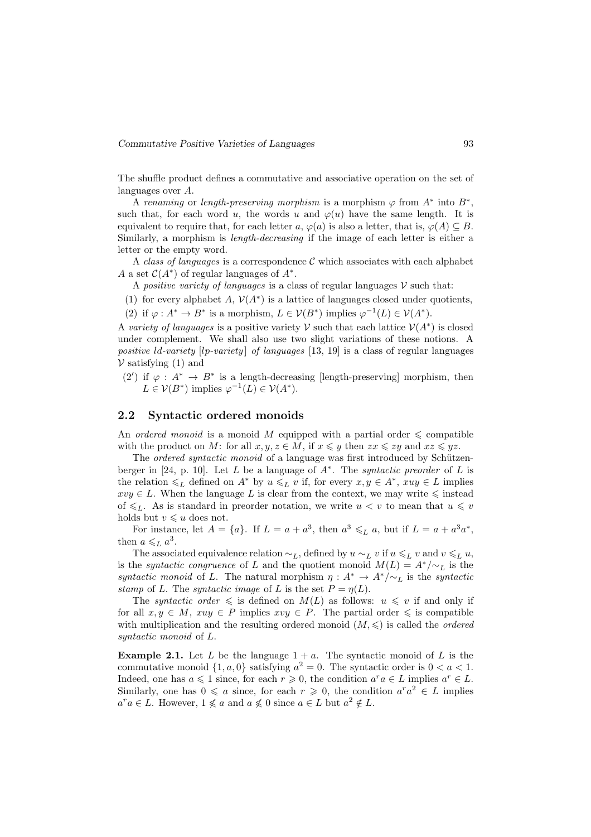The shuffle product defines a commutative and associative operation on the set of languages over A.

A renaming or length-preserving morphism is a morphism  $\varphi$  from  $A^*$  into  $B^*$ , such that, for each word u, the words u and  $\varphi(u)$  have the same length. It is equivalent to require that, for each letter a,  $\varphi(a)$  is also a letter, that is,  $\varphi(A) \subseteq B$ . Similarly, a morphism is length-decreasing if the image of each letter is either a letter or the empty word.

A class of languages is a correspondence  $\mathcal C$  which associates with each alphabet A a set  $C(A^*)$  of regular languages of  $A^*$ .

A *positive variety of languages* is a class of regular languages  $V$  such that:

- (1) for every alphabet A,  $V(A^*)$  is a lattice of languages closed under quotients,
- (2) if  $\varphi: A^* \to B^*$  is a morphism,  $L \in \mathcal{V}(B^*)$  implies  $\varphi^{-1}(L) \in \mathcal{V}(A^*)$ .

A variety of languages is a positive variety V such that each lattice  $\mathcal{V}(A^*)$  is closed under complement. We shall also use two slight variations of these notions. A positive  $ld$ -variety  $[lp\text{-}variety]$  of languages  $[13, 19]$  is a class of regular languages  $V$  satisfying (1) and

(2') if  $\varphi : A^* \to B^*$  is a length-decreasing [length-preserving] morphism, then  $L \in \mathcal{V}(B^*)$  implies  $\varphi^{-1}(L) \in \mathcal{V}(A^*)$ .

### 2.2 Syntactic ordered monoids

An ordered monoid is a monoid M equipped with a partial order  $\leq$  compatible with the product on M: for all  $x, y, z \in M$ , if  $x \leq y$  then  $zx \leq zy$  and  $xz \leq yz$ .

The ordered syntactic monoid of a language was first introduced by Schützenberger in [24, p. 10]. Let L be a language of  $A^*$ . The *syntactic preorder* of L is the relation  $\leq_L$  defined on  $A^*$  by  $u \leq_L v$  if, for every  $x, y \in A^*$ ,  $xuy \in L$  implies  $xvy \in L$ . When the language L is clear from the context, we may write  $\leq$  instead of  $\leq L$ . As is standard in preorder notation, we write  $u < v$  to mean that  $u \leq v$ holds but  $v \leq u$  does not.

For instance, let  $A = \{a\}$ . If  $L = a + a^3$ , then  $a^3 \leq_L a$ , but if  $L = a + a^3 a^*$ , then  $a \leqslant_L a^3$ .

The associated equivalence relation  $\sim_L$ , defined by  $u \sim_L v$  if  $u \leq_L v$  and  $v \leq_L u$ , is the *syntactic congruence* of L and the quotient monoid  $M(L) = A^*/{\sim_L}$  is the syntactic monoid of L. The natural morphism  $\eta: A^* \to A^*/\sim_L$  is the syntactic stamp of L. The syntactic image of L is the set  $P = \eta(L)$ .

The syntactic order  $\leq$  is defined on  $M(L)$  as follows:  $u \leq v$  if and only if for all  $x, y \in M$ ,  $xuy \in P$  implies  $xvy \in P$ . The partial order  $\leq$  is compatible with multiplication and the resulting ordered monoid  $(M, \leqslant)$  is called the *ordered* syntactic monoid of L.

**Example 2.1.** Let L be the language  $1 + a$ . The syntactic monoid of L is the commutative monoid  $\{1, a, 0\}$  satisfying  $a^2 = 0$ . The syntactic order is  $0 < a < 1$ . Indeed, one has  $a \leq 1$  since, for each  $r \geq 0$ , the condition  $a^r a \in L$  implies  $a^r \in L$ . Similarly, one has  $0 \leq a$  since, for each  $r \geq 0$ , the condition  $a^r a^2 \in L$  implies  $a^r a \in L$ . However,  $1 \nleq a$  and  $a \nleq 0$  since  $a \in L$  but  $a^2 \notin L$ .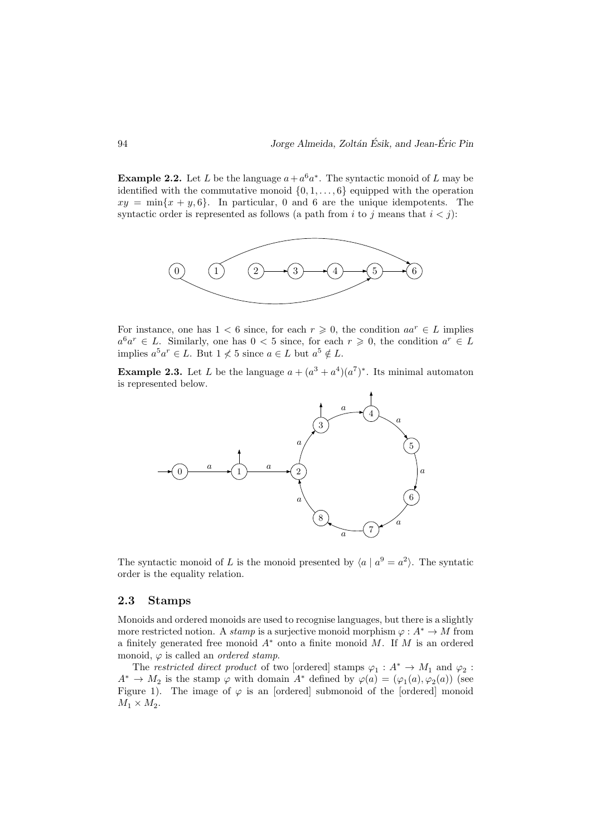**Example 2.2.** Let L be the language  $a + a^6 a^*$ . The syntactic monoid of L may be identified with the commutative monoid  $\{0, 1, \ldots, 6\}$  equipped with the operation  $xy = \min\{x + y, 6\}$ . In particular, 0 and 6 are the unique idempotents. The syntactic order is represented as follows (a path from i to j means that  $i < j$ ):



For instance, one has  $1 < 6$  since, for each  $r \geq 0$ , the condition  $aa^r \in L$  implies  $a^6a^r \in L$ . Similarly, one has  $0 < 5$  since, for each  $r \geq 0$ , the condition  $a^r \in L$ implies  $a^5a^r \in L$ . But  $1 \nless 5$  since  $a \in L$  but  $a^5 \notin L$ .

**Example 2.3.** Let L be the language  $a + (a^3 + a^4)(a^7)^*$ . Its minimal automaton is represented below.



The syntactic monoid of L is the monoid presented by  $\langle a | a^9 = a^2 \rangle$ . The syntatic order is the equality relation.

### 2.3 Stamps

Monoids and ordered monoids are used to recognise languages, but there is a slightly more restricted notion. A *stamp* is a surjective monoid morphism  $\varphi : A^* \to M$  from a finitely generated free monoid  $A^*$  onto a finite monoid M. If M is an ordered monoid,  $\varphi$  is called an *ordered stamp*.

The restricted direct product of two [ordered] stamps  $\varphi_1: A^* \to M_1$  and  $\varphi_2$ :  $A^* \to M_2$  is the stamp  $\varphi$  with domain  $A^*$  defined by  $\varphi(a) = (\varphi_1(a), \varphi_2(a))$  (see Figure 1). The image of  $\varphi$  is an [ordered] submonoid of the [ordered] monoid  $M_1 \times M_2$ .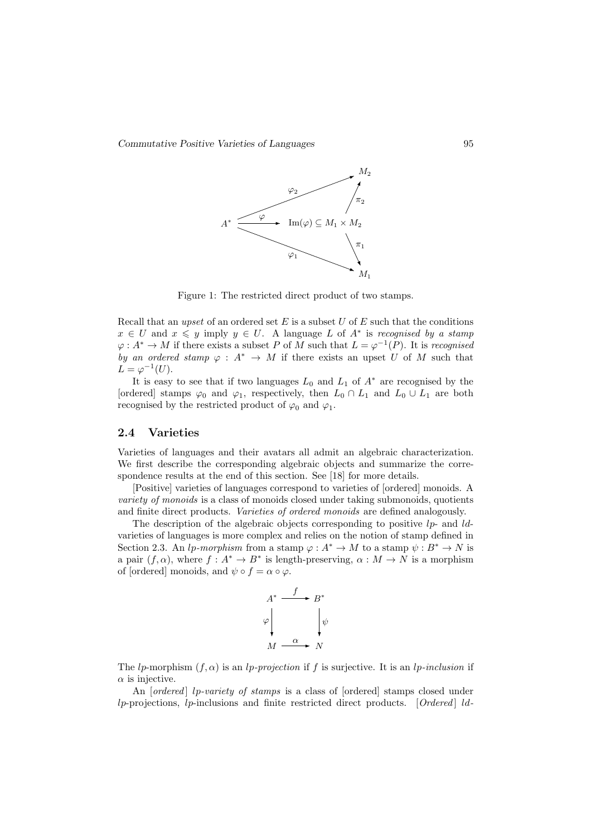Commutative Positive Varieties of Languages 95



Figure 1: The restricted direct product of two stamps.

Recall that an upset of an ordered set  $E$  is a subset  $U$  of  $E$  such that the conditions  $x \in U$  and  $x \leq y$  imply  $y \in U$ . A language L of  $A^*$  is recognised by a stamp  $\varphi: A^* \to M$  if there exists a subset P of M such that  $L = \varphi^{-1}(P)$ . It is recognised by an ordered stamp  $\varphi : A^* \to M$  if there exists an upset U of M such that  $L = \varphi^{-1}(U).$ 

It is easy to see that if two languages  $L_0$  and  $L_1$  of  $A^*$  are recognised by the [ordered] stamps  $\varphi_0$  and  $\varphi_1$ , respectively, then  $L_0 \cap L_1$  and  $L_0 \cup L_1$  are both recognised by the restricted product of  $\varphi_0$  and  $\varphi_1$ .

### 2.4 Varieties

Varieties of languages and their avatars all admit an algebraic characterization. We first describe the corresponding algebraic objects and summarize the correspondence results at the end of this section. See [18] for more details.

[Positive] varieties of languages correspond to varieties of [ordered] monoids. A variety of monoids is a class of monoids closed under taking submonoids, quotients and finite direct products. Varieties of ordered monoids are defined analogously.

The description of the algebraic objects corresponding to positive  $lp$ - and  $ld$ varieties of languages is more complex and relies on the notion of stamp defined in Section 2.3. An lp-morphism from a stamp  $\varphi : A^* \to M$  to a stamp  $\psi : B^* \to N$  is a pair  $(f, \alpha)$ , where  $f : A^* \to B^*$  is length-preserving,  $\alpha : M \to N$  is a morphism of [ordered] monoids, and  $\psi \circ f = \alpha \circ \varphi$ .



The lp-morphism  $(f, \alpha)$  is an lp-projection if f is surjective. It is an lp-inclusion if  $\alpha$  is injective.

An  $[ordered]$  lp-variety of stamps is a class of  $[ordered]$  stamps closed under  $lp\text{-}projections, lp\text{-}inclusions and finite restricted direct products. [Ordered] Id-$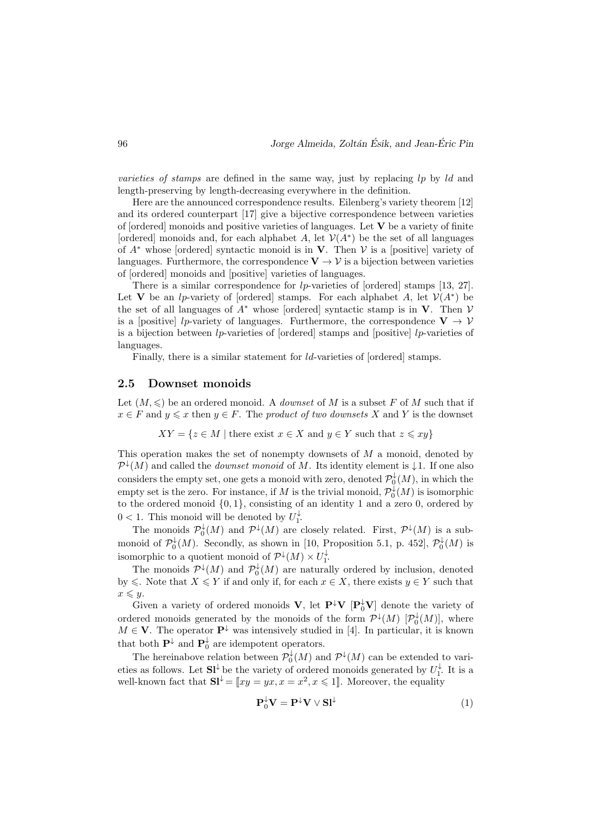varieties of stamps are defined in the same way, just by replacing  $lp$  by  $ld$  and length-preserving by length-decreasing everywhere in the definition.

Here are the announced correspondence results. Eilenberg's variety theorem [12] and its ordered counterpart [17] give a bijective correspondence between varieties of  $\alpha$  [ordered] monoids and positive varieties of languages. Let **V** be a variety of finite [ordered] monoids and, for each alphabet A, let  $V(A^*)$  be the set of all languages of  $A^*$  whose [ordered] syntactic monoid is in **V**. Then  $V$  is a [positive] variety of languages. Furthermore, the correspondence  $V \rightarrow V$  is a bijection between varieties of [ordered] monoids and [positive] varieties of languages.

There is a similar correspondence for  $lp$ -varieties of [ordered] stamps [13, 27]. Let V be an *lp*-variety of [ordered] stamps. For each alphabet A, let  $V(A^*)$  be the set of all languages of  $A^*$  whose [ordered] syntactic stamp is in V. Then V is a [positive] lp-variety of languages. Furthermore, the correspondence  $V \rightarrow V$ is a bijection between  $lp$ -varieties of [ordered] stamps and [positive]  $lp$ -varieties of languages.

Finally, there is a similar statement for *ld*-varieties of [ordered] stamps.

#### 2.5 Downset monoids

Let  $(M, \leq)$  be an ordered monoid. A *downset* of M is a subset F of M such that if  $x \in F$  and  $y \leq x$  then  $y \in F$ . The product of two downsets X and Y is the downset

$$
XY = \{z \in M \mid \text{there exist } x \in X \text{ and } y \in Y \text{ such that } z \leqslant xy\}
$$

This operation makes the set of nonempty downsets of M a monoid, denoted by  $\mathcal{P}^{\downarrow}(M)$  and called the *downset monoid* of M. Its identity element is  $\downarrow$  1. If one also considers the empty set, one gets a monoid with zero, denoted  $\mathcal{P}_0^{\downarrow}(M)$ , in which the empty set is the zero. For instance, if M is the trivial monoid,  $\mathcal{P}_0^{\downarrow}(M)$  is isomorphic to the ordered monoid  $\{0, 1\}$ , consisting of an identity 1 and a zero 0, ordered by  $0 < 1$ . This monoid will be denoted by  $U_1^{\downarrow}$ .

The monoids  $\mathcal{P}_0^{\downarrow}(M)$  and  $\mathcal{P}^{\downarrow}(M)$  are closely related. First,  $\mathcal{P}^{\downarrow}(M)$  is a submonoid of  $\mathcal{P}_0^{\downarrow}(M)$ . Secondly, as shown in [10, Proposition 5.1, p. 452],  $\mathcal{P}_0^{\downarrow}(M)$  is isomorphic to a quotient monoid of  $\mathcal{P}^{\downarrow}(M) \times U_{1}^{\downarrow}$ .

The monoids  $\mathcal{P}^{\downarrow}(M)$  and  $\mathcal{P}^{\downarrow}_{0}(M)$  are naturally ordered by inclusion, denoted by  $\leq$ . Note that  $X \leq Y$  if and only if, for each  $x \in X$ , there exists  $y \in Y$  such that  $x \leq y$ .

Given a variety of ordered monoids  $\bf{V}$ , let  $\bf{P}^{\downarrow}V$   $[\bf{P}_0^{\downarrow}V]$  denote the variety of ordered monoids generated by the monoids of the form  $\mathcal{P}^{\downarrow}(M)$   $[\mathcal{P}_0^{\downarrow}(M)]$ , where  $M \in \mathbf{V}$ . The operator  $\mathbf{P}^{\downarrow}$  was intensively studied in [4]. In particular, it is known that both  $\mathbf{P}^{\downarrow}$  and  $\mathbf{P}_0^{\downarrow}$  are idempotent operators.

The hereinabove relation between  $\mathcal{P}_0^{\downarrow}(M)$  and  $\mathcal{P}^{\downarrow}(M)$  can be extended to varieties as follows. Let  $\mathbf{S}l^{\downarrow}$  be the variety of ordered monoids generated by  $U_1^{\downarrow}$ . It is a well-known fact that  $S_l^{\downarrow} = [xy = yx, x = x^2, x \le 1]$ . Moreover, the equality

$$
\mathbf{P}_0^{\downarrow} \mathbf{V} = \mathbf{P}^{\downarrow} \mathbf{V} \vee \mathbf{S} \mathbf{l}^{\downarrow}
$$
 (1)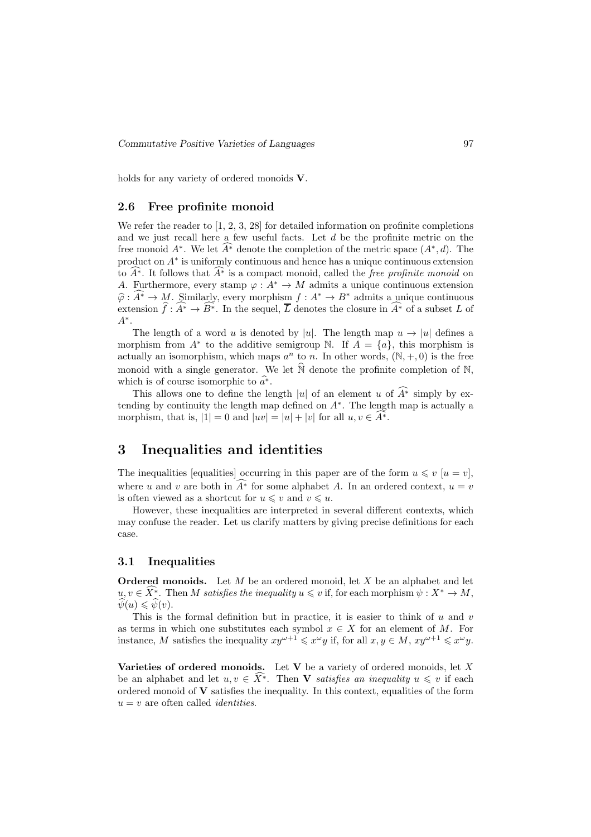holds for any variety of ordered monoids **V**.

### 2.6 Free profinite monoid

We refer the reader to [1, 2, 3, 28] for detailed information on profinite completions and we just recall here a few useful facts. Let  $d$  be the profinite metric on the free monoid  $A^*$ . We let  $\widehat{A^*}$  denote the completion of the metric space  $(A^*, d)$ . The product on  $A^*$  is uniformly continuous and hence has a unique continuous extension to  $\widehat{A^*}$ . It follows that  $\widehat{A^*}$  is a compact monoid, called the *free profinite monoid* on A. Furthermore, every stamp  $\varphi: A^* \to M$  admits a unique continuous extension  $\hat{\varphi} : \widehat{A^*} \to M$ . Similarly, every morphism  $f : A^* \to B^*$  admits a unique continuous extension  $\hat{f}: \widehat{A^*} \to \widehat{B^*}$ . In the sequel,  $\overline{L}$  denotes the closure in  $\widehat{A^*}$  of a subset L of A∗ .

The length of a word u is denoted by |u|. The length map  $u \to |u|$  defines a morphism from  $A^*$  to the additive semigroup N. If  $A = \{a\}$ , this morphism is actually an isomorphism, which maps  $a^n$  to n. In other words,  $(N, +, 0)$  is the free monoid with a single generator. We let  $\widehat{N}$  denote the profinite completion of N, which is of course isomorphic to  $\hat{a}^*$ .

This allows one to define the length |u| of an element u of  $\widehat{A^*}$  simply by extending by continuity the length map defined on A<sup>∗</sup> . The length map is actually a morphism, that is,  $|1| = 0$  and  $|uv| = |u| + |v|$  for all  $u, v \in A^*$ .

## 3 Inequalities and identities

The inequalities [equalities] occurring in this paper are of the form  $u \leq v$  [ $u = v$ ], where u and v are both in  $A^*$  for some alphabet A. In an ordered context,  $u = v$ is often viewed as a shortcut for  $u \leq v$  and  $v \leq u$ .

However, these inequalities are interpreted in several different contexts, which may confuse the reader. Let us clarify matters by giving precise definitions for each case.

### 3.1 Inequalities

**Ordered monoids.** Let  $M$  be an ordered monoid, let  $X$  be an alphabet and let  $u, v \in \overline{X^*}$ . Then M satisfies the inequality  $u \leq v$  if, for each morphism  $\psi: X^* \to M$ ,  $\psi(u) \leq \psi(v)$ .

This is the formal definition but in practice, it is easier to think of  $u$  and  $v$ as terms in which one substitutes each symbol  $x \in X$  for an element of M. For instance, M satisfies the inequality  $xy^{\omega+1} \leq x^{\omega}y$  if, for all  $x, y \in M$ ,  $xy^{\omega+1} \leq x^{\omega}y$ .

Varieties of ordered monoids. Let V be a variety of ordered monoids, let  $X$ be an alphabet and let  $u, v \in \widehat{X^*}$ . Then **V** satisfies an inequality  $u \leq v$  if each ordered monoid of  $V$  satisfies the inequality. In this context, equalities of the form  $u = v$  are often called *identities*.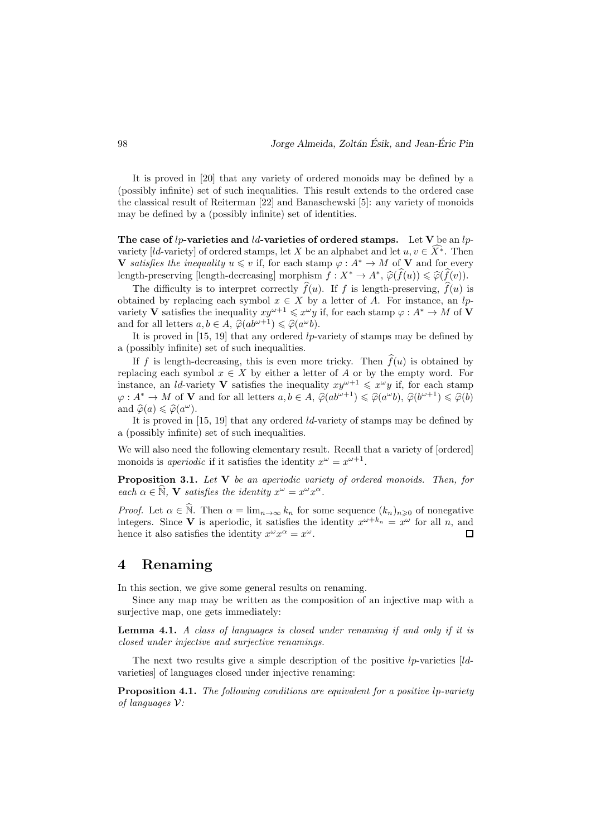It is proved in [20] that any variety of ordered monoids may be defined by a (possibly infinite) set of such inequalities. This result extends to the ordered case the classical result of Reiterman [22] and Banaschewski [5]: any variety of monoids may be defined by a (possibly infinite) set of identities.

The case of lp-varieties and ld-varieties of ordered stamps. Let V be an lpvariety [ld-variety] of ordered stamps, let X be an alphabet and let  $u, v \in \widehat{X^*}$ . Then V satisfies the inequality  $u \leq v$  if, for each stamp  $\varphi : A^* \to M$  of V and for every length-preserving [length-decreasing] morphism  $f : X^* \to A^*, \hat{\varphi}(\hat{f}(u)) \leq \hat{\varphi}(\hat{f}(v)).$ 

The difficulty is to interpret correctly  $\widehat{f}(u)$ . If f is length-preserving,  $\widehat{f}(u)$  is obtained by replacing each symbol  $x \in X$  by a letter of A. For instance, an lpvariety V satisfies the inequality  $xy^{\omega+1} \leq x^{\omega}y$  if, for each stamp  $\varphi: A^* \to M$  of V and for all letters  $a, b \in A$ ,  $\widehat{\varphi}(ab^{\omega+1}) \leq \widehat{\varphi}(a^{\omega}b)$ .

It is proved in  $[15, 19]$  that any ordered lp-variety of stamps may be defined by a (possibly infinite) set of such inequalities.

If f is length-decreasing, this is even more tricky. Then  $\hat{f}(u)$  is obtained by replacing each symbol  $x \in X$  by either a letter of A or by the empty word. For instance, an *ld*-variety **V** satisfies the inequality  $xy^{\omega+1} \leq x^{\omega}y$  if, for each stamp  $\varphi: A^* \to M$  of **V** and for all letters  $a, b \in A$ ,  $\widehat{\varphi}(ab^{\omega+1}) \leq \widehat{\varphi}(a^{\omega}b)$ ,  $\widehat{\varphi}(b^{\omega+1}) \leq \widehat{\varphi}(b)$ and  $\widehat{\varphi}(a) \leq \widehat{\varphi}(a^{\omega}).$ 

It is proved in [15, 19] that any ordered ld-variety of stamps may be defined by a (possibly infinite) set of such inequalities.

We will also need the following elementary result. Recall that a variety of [ordered] monoids is *aperiodic* if it satisfies the identity  $x^{\omega} = x^{\omega+1}$ .

**Proposition 3.1.** Let  $V$  be an aperiodic variety of ordered monoids. Then, for each  $\alpha \in \widehat{\mathbb{N}}, \mathbf{V}$  satisfies the identity  $x^{\omega} = x^{\omega} x^{\alpha}$ .

*Proof.* Let  $\alpha \in \hat{\mathbb{N}}$ . Then  $\alpha = \lim_{n\to\infty} k_n$  for some sequence  $(k_n)_{n\geqslant 0}$  of nonegative integers. Since **V** is aperiodic, it satisfies the identity  $x^{\omega+k_n} = x^{\omega}$  for all n, and hence it also satisfies the identity  $x^{\omega} x^{\alpha} = x^{\omega}$ .  $\Box$ 

## 4 Renaming

In this section, we give some general results on renaming.

Since any map may be written as the composition of an injective map with a surjective map, one gets immediately:

Lemma 4.1. A class of languages is closed under renaming if and only if it is closed under injective and surjective renamings.

The next two results give a simple description of the positive  $lp$ -varieties [ $ld$ varieties] of languages closed under injective renaming:

Proposition 4.1. The following conditions are equivalent for a positive lp-variety of languages  $V$ :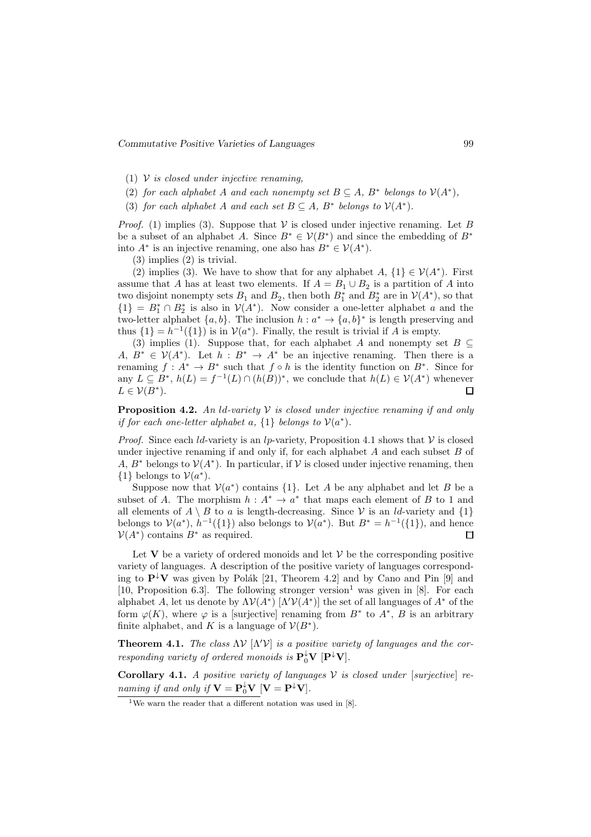Commutative Positive Varieties of Languages 99

- (1)  $V$  is closed under injective renaming,
- (2) for each alphabet A and each nonempty set  $B \subseteq A$ ,  $B^*$  belongs to  $V(A^*)$ ,
- (3) for each alphabet A and each set  $B \subseteq A$ ,  $B^*$  belongs to  $V(A^*)$ .

*Proof.* (1) implies (3). Suppose that  $V$  is closed under injective renaming. Let B be a subset of an alphabet A. Since  $B^* \in V(B^*)$  and since the embedding of  $B^*$ into  $A^*$  is an injective renaming, one also has  $B^* \in V(A^*)$ .

(3) implies (2) is trivial.

(2) implies (3). We have to show that for any alphabet  $A, \{1\} \in \mathcal{V}(A^*)$ . First assume that A has at least two elements. If  $A = B_1 \cup B_2$  is a partition of A into two disjoint nonempty sets  $B_1$  and  $B_2$ , then both  $B_1^*$  and  $B_2^*$  are in  $\mathcal{V}(A^*)$ , so that  ${1} = B_1^* \cap B_2^*$  is also in  $V(A^*)$ . Now consider a one-letter alphabet a and the two-letter alphabet  $\{a, b\}$ . The inclusion  $h : a^* \to \{a, b\}^*$  is length preserving and thus  $\{1\} = h^{-1}(\{1\})$  is in  $\mathcal{V}(a^*)$ . Finally, the result is trivial if A is empty.

(3) implies (1). Suppose that, for each alphabet A and nonempty set  $B \subseteq$ A,  $B^* \in V(A^*)$ . Let  $h : B^* \to A^*$  be an injective renaming. Then there is a renaming  $f: A^* \to B^*$  such that  $f \circ h$  is the identity function on  $B^*$ . Since for any  $L \subseteq B^*$ ,  $h(L) = f^{-1}(L) \cap (h(B))^*$ , we conclude that  $h(L) \in V(A^*)$  whenever  $L \in \mathcal{V}(B^*)$ .  $\Box$ 

**Proposition 4.2.** An *ld-variety*  $\mathcal V$  is closed under injective renaming if and only if for each one-letter alphabet a,  $\{1\}$  belongs to  $\mathcal{V}(a^*)$ .

*Proof.* Since each *ld*-variety is an *lp*-variety, Proposition 4.1 shows that  $V$  is closed under injective renaming if and only if, for each alphabet  $A$  and each subset  $B$  of A,  $B^*$  belongs to  $V(A^*)$ . In particular, if V is closed under injective renaming, then {1} belongs to  $V(a^*)$ .

Suppose now that  $V(a^*)$  contains  $\{1\}$ . Let A be any alphabet and let B be a subset of A. The morphism  $h: A^* \to a^*$  that maps each element of B to 1 and all elements of  $A \setminus B$  to a is length-decreasing. Since  $V$  is an *ld*-variety and  $\{1\}$ belongs to  $V(a^*)$ ,  $h^{-1}(\{1\})$  also belongs to  $V(a^*)$ . But  $B^* = h^{-1}(\{1\})$ , and hence  $\mathcal{V}(A^*)$  contains  $B^*$  as required.  $\Box$ 

Let V be a variety of ordered monoids and let  $\mathcal V$  be the corresponding positive variety of languages. A description of the positive variety of languages corresponding to  $\mathbf{P}^{\downarrow}\mathbf{V}$  was given by Polák [21, Theorem 4.2] and by Cano and Pin [9] and [10, Proposition 6.3]. The following stronger version<sup>1</sup> was given in [8]. For each alphabet A, let us denote by  $\Lambda V(A^*)$   $[\Lambda'V(A^*)]$  the set of all languages of  $A^*$  of the form  $\varphi(K)$ , where  $\varphi$  is a [surjective] renaming from  $B^*$  to  $A^*, B$  is an arbitrary finite alphabet, and K is a language of  $\mathcal{V}(B^*)$ .

**Theorem 4.1.** The class  $\Lambda V$   $[\Lambda'V]$  is a positive variety of languages and the corresponding variety of ordered monoids is  $\mathbf{P}_0^{\downarrow} \mathbf{V}$   $[\mathbf{P}^{\downarrow} \mathbf{V}]$ .

**Corollary 4.1.** A positive variety of languages  $V$  is closed under [surjective] renaming if and only if  $\mathbf{V} = \mathbf{P}_0^{\downarrow} \mathbf{V}$   $[\mathbf{V} = \mathbf{P}^{\downarrow} \mathbf{V}]$ .

<sup>&</sup>lt;sup>1</sup>We warn the reader that a different notation was used in [8].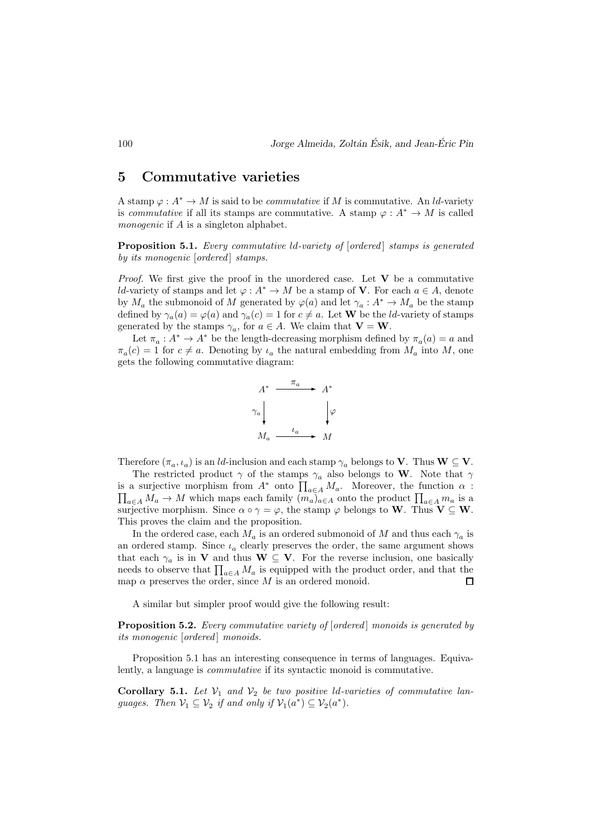## 5 Commutative varieties

A stamp  $\varphi: A^* \to M$  is said to be *commutative* if M is commutative. An *ld*-variety is *commutative* if all its stamps are commutative. A stamp  $\varphi : A^* \to M$  is called monogenic if A is a singleton alphabet.

**Proposition 5.1.** Every commutative *ld-variety of [ordered]* stamps is generated by its monogenic [ordered] stamps.

*Proof.* We first give the proof in the unordered case. Let  $V$  be a commutative ld-variety of stamps and let  $\varphi: A^* \to M$  be a stamp of **V**. For each  $a \in A$ , denote by  $M_a$  the submonoid of M generated by  $\varphi(a)$  and let  $\gamma_a: A^* \to M_a$  be the stamp defined by  $\gamma_a(a) = \varphi(a)$  and  $\gamma_a(c) = 1$  for  $c \neq a$ . Let **W** be the *ld*-variety of stamps generated by the stamps  $\gamma_a$ , for  $a \in A$ . We claim that  $\mathbf{V} = \mathbf{W}$ .

Let  $\pi_a: A^* \to A^*$  be the length-decreasing morphism defined by  $\pi_a(a) = a$  and  $\pi_a(c) = 1$  for  $c \neq a$ . Denoting by  $\iota_a$  the natural embedding from  $M_a$  into M, one gets the following commutative diagram:



Therefore  $(\pi_a, \iota_a)$  is an *ld*-inclusion and each stamp  $\gamma_a$  belongs to **V**. Thus **W**  $\subseteq$  **V**.

The restricted product  $\gamma$  of the stamps  $\gamma_a$  also belongs to W. Note that  $\gamma$ is a surjective morphism from  $A^*$  onto  $\prod_{a \in A} M_a$ . Moreover, the function  $\alpha$ :<br>  $\prod_{a \in A} M_a \to M$  which maps each family  $(m_a)_{a \in A}$  onto the product  $\prod_{a \in A} m_a$  is a  $a\in A$  M<sub>a</sub> → M which maps each family  $(m_a)_{a\in A}$  onto the product  $\prod_{a\in A} m_a$  is a surjective morphism. Since  $\alpha \circ \gamma = \varphi$ , the stamp  $\varphi$  belongs to W. Thus  $V \subset W$ . This proves the claim and the proposition.

In the ordered case, each  $M_a$  is an ordered submonoid of M and thus each  $\gamma_a$  is an ordered stamp. Since  $\iota_a$  clearly preserves the order, the same argument shows that each  $\gamma_a$  is in V and thus  $\mathbf{W} \subseteq \mathbf{V}$ . For the reverse inclusion, one basically needs to observe that  $\prod_{a \in A} M_a$  is equipped with the product order, and that the map  $\alpha$  preserves the order, since M is an ordered monoid.  $\Box$ 

A similar but simpler proof would give the following result:

**Proposition 5.2.** Every commutative variety of [ordered] monoids is generated by its monogenic [ordered] monoids.

Proposition 5.1 has an interesting consequence in terms of languages. Equivalently, a language is commutative if its syntactic monoid is commutative.

**Corollary 5.1.** Let  $V_1$  and  $V_2$  be two positive ld-varieties of commutative languages. Then  $\mathcal{V}_1 \subseteq \mathcal{V}_2$  if and only if  $\mathcal{V}_1(a^*) \subseteq \mathcal{V}_2(a^*)$ .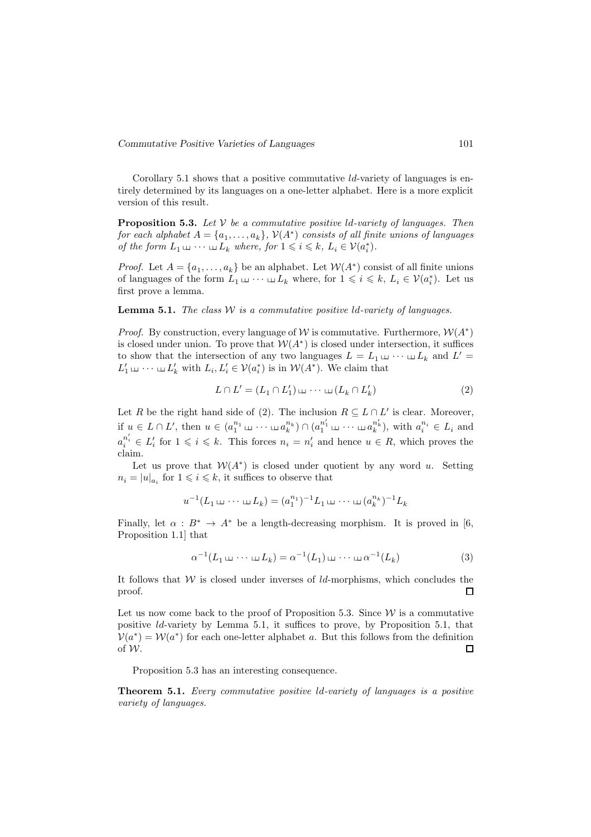Corollary 5.1 shows that a positive commutative  $ld$ -variety of languages is entirely determined by its languages on a one-letter alphabet. Here is a more explicit version of this result.

**Proposition 5.3.** Let  $V$  be a commutative positive ld-variety of languages. Then for each alphabet  $A = \{a_1, \ldots, a_k\}$ ,  $\mathcal{V}(A^*)$  consists of all finite unions of languages of the form  $L_1 \sqcup \cdots \sqcup L_k$  where, for  $1 \leq i \leq k$ ,  $L_i \in \mathcal{V}(a_i^*)$ .

*Proof.* Let  $A = \{a_1, \ldots, a_k\}$  be an alphabet. Let  $W(A^*)$  consist of all finite unions of languages of the form  $L_1 \sqcup \cdots \sqcup L_k$  where, for  $1 \leqslant i \leqslant k$ ,  $L_i \in \mathcal{V}(a_i^*)$ . Let us first prove a lemma.

**Lemma 5.1.** The class  $W$  is a commutative positive  $ld$ -variety of languages.

*Proof.* By construction, every language of W is commutative. Furthermore,  $W(A^*)$ is closed under union. To prove that  $W(A^*)$  is closed under intersection, it suffices to show that the intersection of any two languages  $L = L_1 \sqcup \cdots \sqcup L_k$  and  $L' =$  $L'_1 \sqcup \cdots \sqcup L'_k$  with  $L_i, L'_i \in \mathcal{V}(a_i^*)$  is in  $\mathcal{W}(A^*)$ . We claim that

$$
L \cap L' = (L_1 \cap L'_1) \sqcup \cdots \sqcup (L_k \cap L'_k) \tag{2}
$$

Let R be the right hand side of (2). The inclusion  $R \subseteq L \cap L'$  is clear. Moreover, if  $u \in L \cap L'$ , then  $u \in (a_1^{n_1} \sqcup \cdots \sqcup a_k^{n_k}) \cap (a_1^{n'_1} \sqcup \cdots \sqcup a_k^{n'_k})$ , with  $a_i^{n_i} \in L_i$  and  $a_i^{n'_i} \in L'_i$  for  $1 \leqslant i \leqslant k$ . This forces  $n_i = n'_i$  and hence  $u \in R$ , which proves the claim.

Let us prove that  $W(A^*)$  is closed under quotient by any word u. Setting  $n_i = |u|_{a_i}$  for  $1 \leq i \leq k$ , it suffices to observe that

$$
u^{-1}(L_1 \sqcup \cdots \sqcup L_k) = (a_1^{n_1})^{-1}L_1 \sqcup \cdots \sqcup (a_k^{n_k})^{-1}L_k
$$

Finally, let  $\alpha : B^* \to A^*$  be a length-decreasing morphism. It is proved in [6, Proposition 1.1] that

$$
\alpha^{-1}(L_1 \sqcup \cdots \sqcup L_k) = \alpha^{-1}(L_1) \sqcup \cdots \sqcup \alpha^{-1}(L_k)
$$
\n(3)

It follows that  $W$  is closed under inverses of  $ld$ -morphisms, which concludes the proof.  $\Box$ 

Let us now come back to the proof of Proposition 5.3. Since  $W$  is a commutative positive ld-variety by Lemma 5.1, it suffices to prove, by Proposition 5.1, that  $V(a^*) = W(a^*)$  for each one-letter alphabet a. But this follows from the definition of W.  $\Box$ 

Proposition 5.3 has an interesting consequence.

Theorem 5.1. Every commutative positive ld-variety of languages is a positive variety of languages.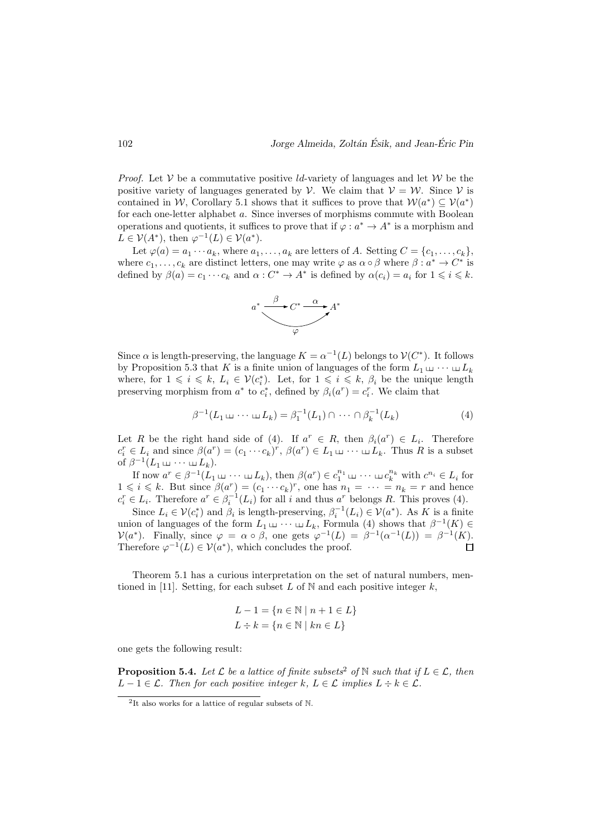*Proof.* Let  $V$  be a commutative positive *ld*-variety of languages and let  $W$  be the positive variety of languages generated by  $V$ . We claim that  $V = W$ . Since V is contained in W, Corollary 5.1 shows that it suffices to prove that  $W(a^*) \subseteq V(a^*)$ for each one-letter alphabet a. Since inverses of morphisms commute with Boolean operations and quotients, it suffices to prove that if  $\varphi : a^* \to A^*$  is a morphism and  $L \in \mathcal{V}(A^*)$ , then  $\varphi^{-1}(L) \in \mathcal{V}(a^*)$ .

Let  $\varphi(a) = a_1 \cdots a_k$ , where  $a_1, \ldots, a_k$  are letters of A. Setting  $C = \{c_1, \ldots, c_k\}$ , where  $c_1, \ldots, c_k$  are distinct letters, one may write  $\varphi$  as  $\alpha \circ \beta$  where  $\beta : a^* \to C^*$  is defined by  $\beta(a) = c_1 \cdots c_k$  and  $\alpha : C^* \to A^*$  is defined by  $\alpha(c_i) = a_i$  for  $1 \leq i \leq k$ .



Since  $\alpha$  is length-preserving, the language  $K = \alpha^{-1}(L)$  belongs to  $V(C^*)$ . It follows by Proposition 5.3 that K is a finite union of languages of the form  $L_1 \sqcup \cdots \sqcup L_k$ where, for  $1 \leq i \leq k$ ,  $L_i \in \mathcal{V}(c_i^*)$ . Let, for  $1 \leq i \leq k$ ,  $\beta_i$  be the unique length preserving morphism from  $a^*$  to  $c_i^*$ , defined by  $\beta_i(a^r) = c_i^r$ . We claim that

$$
\beta^{-1}(L_1 \sqcup \cdots \sqcup L_k) = \beta_1^{-1}(L_1) \cap \cdots \cap \beta_k^{-1}(L_k)
$$
\n(4)

Let R be the right hand side of (4). If  $a^r \in R$ , then  $\beta_i(a^r) \in L_i$ . Therefore  $c_i^r \in L_i$  and since  $\beta(a^r) = (c_1 \cdots c_k)^r$ ,  $\beta(a^r) \in L_1 \sqcup \cdots \sqcup L_k$ . Thus R is a subset of  $\beta^{-1}(L_1 \sqcup \cdots \sqcup L_k)$ .

If now  $a^r \in \beta^{-1}(L_1 \sqcup \cdots \sqcup L_k)$ , then  $\beta(a^r) \in c_1^{n_1} \sqcup \cdots \sqcup c_k^{n_k}$  with  $c^{n_i} \in L_i$  for  $1 \leq i \leq k$ . But since  $\beta(a^r) = (c_1 \cdots c_k)^r$ , one has  $n_1 = \cdots = n_k = r$  and hence  $c_i^r \in L_i$ . Therefore  $a^r \in \beta_i^{-1}(L_i)$  for all i and thus  $a^r$  belongs R. This proves (4).

Since  $L_i \in \mathcal{V}(c_i^*)$  and  $\beta_i$  is length-preserving,  $\beta_i^{-1}(L_i) \in \mathcal{V}(a^*)$ . As K is a finite union of languages of the form  $L_1 \sqcup \cdots \sqcup L_k$ , Formula (4) shows that  $\beta^{-1}(K) \in$  $\mathcal{V}(a^*)$ . Finally, since  $\varphi = \alpha \circ \beta$ , one gets  $\varphi^{-1}(L) = \beta^{-1}(\alpha^{-1}(L)) = \beta^{-1}(K)$ . Therefore  $\varphi^{-1}(L) \in \mathcal{V}(a^*)$ , which concludes the proof.

Theorem 5.1 has a curious interpretation on the set of natural numbers, mentioned in [11]. Setting, for each subset  $L$  of  $N$  and each positive integer  $k$ ,

$$
L - 1 = \{ n \in \mathbb{N} \mid n + 1 \in L \}
$$

$$
L \div k = \{ n \in \mathbb{N} \mid kn \in L \}
$$

one gets the following result:

**Proposition 5.4.** Let  $\mathcal{L}$  be a lattice of finite subsets<sup>2</sup> of N such that if  $L \in \mathcal{L}$ , then  $L-1 \in \mathcal{L}$ . Then for each positive integer k,  $L \in \mathcal{L}$  implies  $L \div k \in \mathcal{L}$ .

<sup>2</sup> It also works for a lattice of regular subsets of N.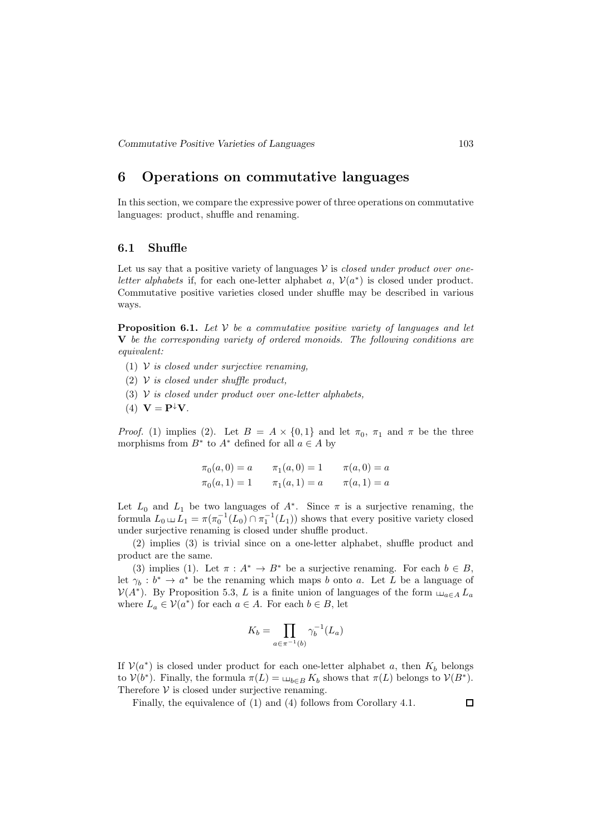## 6 Operations on commutative languages

In this section, we compare the expressive power of three operations on commutative languages: product, shuffle and renaming.

### 6.1 Shuffle

Let us say that a positive variety of languages  $V$  is *closed under product over one*letter alphabets if, for each one-letter alphabet a,  $V(a^*)$  is closed under product. Commutative positive varieties closed under shuffle may be described in various ways.

**Proposition 6.1.** Let  $V$  be a commutative positive variety of languages and let V be the corresponding variety of ordered monoids. The following conditions are equivalent:

- (1)  $V$  is closed under surjective renaming,
- (2)  $V$  is closed under shuffle product,
- (3)  $V$  is closed under product over one-letter alphabets,
- (4)  $\mathbf{V} = \mathbf{P}^{\downarrow} \mathbf{V}$ .

*Proof.* (1) implies (2). Let  $B = A \times \{0, 1\}$  and let  $\pi_0$ ,  $\pi_1$  and  $\pi$  be the three morphisms from  $B^*$  to  $A^*$  defined for all  $a \in A$  by

$$
\pi_0(a, 0) = a
$$
  $\pi_1(a, 0) = 1$   $\pi(a, 0) = a$   
\n $\pi_0(a, 1) = 1$   $\pi_1(a, 1) = a$   $\pi(a, 1) = a$ 

Let  $L_0$  and  $L_1$  be two languages of  $A^*$ . Since  $\pi$  is a surjective renaming, the formula  $L_0 \sqcup L_1 = \pi(\pi_0^{-1}(L_0) \cap \pi_1^{-1}(L_1))$  shows that every positive variety closed under surjective renaming is closed under shuffle product.

(2) implies (3) is trivial since on a one-letter alphabet, shuffle product and product are the same.

(3) implies (1). Let  $\pi : A^* \to B^*$  be a surjective renaming. For each  $b \in B$ , let  $\gamma_b : b^* \to a^*$  be the renaming which maps b onto a. Let L be a language of  $\mathcal{V}(A^*)$ . By Proposition 5.3, L is a finite union of languages of the form  $\Box_{a\in A} L_a$ where  $L_a \in \mathcal{V}(a^*)$  for each  $a \in A$ . For each  $b \in B$ , let

$$
K_b = \prod_{a \in \pi^{-1}(b)} \gamma_b^{-1}(L_a)
$$

If  $V(a^*)$  is closed under product for each one-letter alphabet a, then  $K_b$  belongs to  $V(b^*)$ . Finally, the formula  $\pi(L) = \mu_{b \in B} K_b$  shows that  $\pi(L)$  belongs to  $V(B^*)$ . Therefore  $V$  is closed under surjective renaming.

Finally, the equivalence of (1) and (4) follows from Corollary 4.1.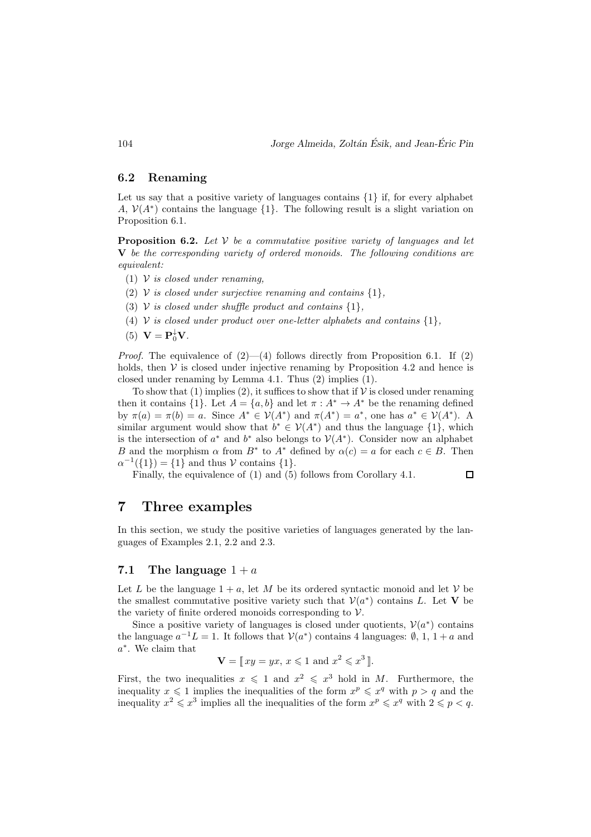$\Box$ 

### 6.2 Renaming

Let us say that a positive variety of languages contains  $\{1\}$  if, for every alphabet A,  $V(A^*)$  contains the language  $\{1\}$ . The following result is a slight variation on Proposition 6.1.

**Proposition 6.2.** Let  $V$  be a commutative positive variety of languages and let V be the corresponding variety of ordered monoids. The following conditions are equivalent:

- (1)  $\mathcal V$  is closed under renaming.
- (2) V is closed under surjective renaming and contains  $\{1\}$ ,
- (3) V is closed under shuffle product and contains  $\{1\}$ ,
- (4) V is closed under product over one-letter alphabets and contains  $\{1\}$ ,
- (5)  $\mathbf{V} = \mathbf{P}_0^{\downarrow} \mathbf{V}$ .

*Proof.* The equivalence of  $(2)$ — $(4)$  follows directly from Proposition 6.1. If  $(2)$ holds, then  $V$  is closed under injective renaming by Proposition 4.2 and hence is closed under renaming by Lemma 4.1. Thus (2) implies (1).

To show that (1) implies (2), it suffices to show that if  $V$  is closed under renaming then it contains  $\{1\}$ . Let  $A = \{a, b\}$  and let  $\pi : A^* \to A^*$  be the renaming defined by  $\pi(a) = \pi(b) = a$ . Since  $A^* \in \mathcal{V}(A^*)$  and  $\pi(A^*) = a^*$ , one has  $a^* \in \mathcal{V}(A^*)$ . A similar argument would show that  $b^* \in V(A^*)$  and thus the language  $\{1\}$ , which is the intersection of  $a^*$  and  $b^*$  also belongs to  $\mathcal{V}(A^*)$ . Consider now an alphabet B and the morphism  $\alpha$  from  $B^*$  to  $A^*$  defined by  $\alpha(c) = a$  for each  $c \in B$ . Then  $\alpha^{-1}(\{1\}) = \{1\}$  and thus V contains  $\{1\}.$ 

Finally, the equivalence of (1) and (5) follows from Corollary 4.1.

## 7 Three examples

In this section, we study the positive varieties of languages generated by the languages of Examples 2.1, 2.2 and 2.3.

### 7.1 The language  $1 + a$

Let L be the language  $1 + a$ , let M be its ordered syntactic monoid and let V be the smallest commutative positive variety such that  $V(a^*)$  contains L. Let V be the variety of finite ordered monoids corresponding to  $V$ .

Since a positive variety of languages is closed under quotients,  $V(a^*)$  contains the language  $a^{-1}L = 1$ . It follows that  $V(a^*)$  contains 4 languages:  $\emptyset$ , 1, 1 + a and a ∗ . We claim that

$$
\mathbf{V} = [x y = y x, x \leq 1 \text{ and } x^2 \leq x^3].
$$

First, the two inequalities  $x \leq 1$  and  $x^2 \leq x^3$  hold in M. Furthermore, the inequality  $x \leq 1$  implies the inequalities of the form  $x^p \leq x^q$  with  $p > q$  and the inequality  $x^2 \leq x^3$  implies all the inequalities of the form  $x^p \leq x^q$  with  $2 \leq p < q$ .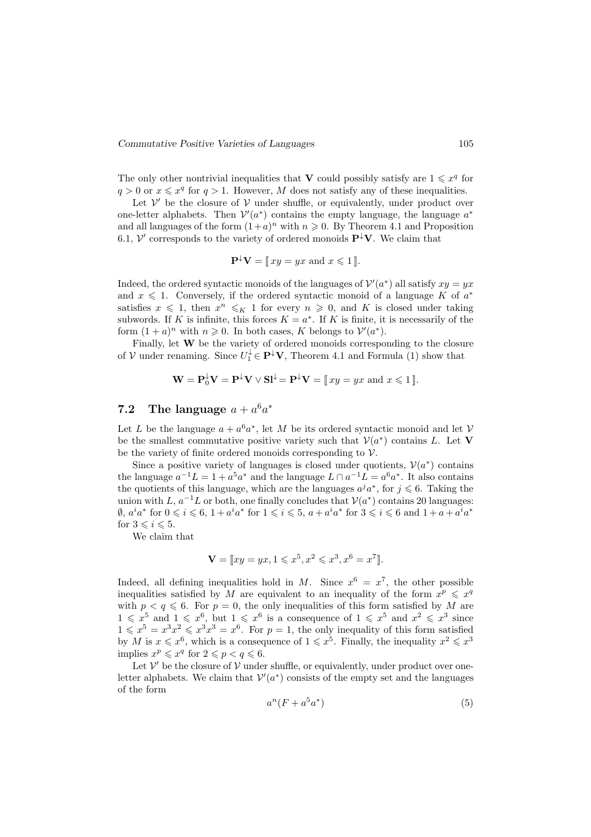The only other nontrivial inequalities that V could possibly satisfy are  $1 \leq x^q$  for  $q > 0$  or  $x \leq x^q$  for  $q > 1$ . However, M does not satisfy any of these inequalities.

Let  $V'$  be the closure of  $V$  under shuffle, or equivalently, under product over one-letter alphabets. Then  $V'(a^*)$  contains the empty language, the language  $a^*$ and all languages of the form  $(1+a)^n$  with  $n \geq 0$ . By Theorem 4.1 and Proposition 6.1,  $\mathcal{V}'$  corresponds to the variety of ordered monoids  $\mathbf{P}^{\downarrow}\mathbf{V}$ . We claim that

$$
\mathbf{P}^{\downarrow}\mathbf{V} = [x y = y x \text{ and } x \leq 1].
$$

Indeed, the ordered syntactic monoids of the languages of  $\mathcal{V}'(a^*)$  all satisfy  $xy = yx$ and  $x \leq 1$ . Conversely, if the ordered syntactic monoid of a language K of  $a^*$ satisfies  $x \leq 1$ , then  $x^n \leq K 1$  for every  $n \geq 0$ , and K is closed under taking subwords. If K is infinite, this forces  $K = a^*$ . If K is finite, it is necessarily of the form  $(1 + a)^n$  with  $n \ge 0$ . In both cases, K belongs to  $V'(a^*)$ .

Finally, let W be the variety of ordered monoids corresponding to the closure of V under renaming. Since  $U_1^{\downarrow} \in \mathbf{P}^{\downarrow} \mathbf{V}$ , Theorem 4.1 and Formula (1) show that

$$
\mathbf{W} = \mathbf{P}_{0}^{\downarrow} \mathbf{V} = \mathbf{P}^{\downarrow} \mathbf{V} \vee \mathbf{S} \mathbf{I}^{\downarrow} = \mathbf{P}^{\downarrow} \mathbf{V} = [\![xy = yx \text{ and } x \leq 1 \!]\!].
$$

# 7.2 The language  $a + a^6 a^*$

Let L be the language  $a + a^6 a^*$ , let M be its ordered syntactic monoid and let V be the smallest commutative positive variety such that  $V(a^*)$  contains L. Let V be the variety of finite ordered monoids corresponding to  $\mathcal V$ .

Since a positive variety of languages is closed under quotients,  $V(a^*)$  contains the language  $a^{-1}L = 1 + a^5a^*$  and the language  $L \cap a^{-1}L = a^6a^*$ . It also contains the quotients of this language, which are the languages  $a^j a^*$ , for  $j \leq 6$ . Taking the union with L,  $a^{-1}L$  or both, one finally concludes that  $V(a^*)$  contains 20 languages:  $\emptyset$ ,  $a^i a^*$  for  $0 \leqslant i \leqslant 6$ ,  $1 + a^i a^*$  for  $1 \leqslant i \leqslant 5$ ,  $a + a^i a^*$  for  $3 \leqslant i \leqslant 6$  and  $1 + a + a^i a^*$ for  $3 \leq i \leq 5$ .

We claim that

$$
\mathbf{V} = [xy = yx, 1 \le x^5, x^2 \le x^3, x^6 = x^7].
$$

Indeed, all defining inequalities hold in M. Since  $x^6 = x^7$ , the other possible inequalities satisfied by M are equivalent to an inequality of the form  $x^p \leq x^q$ with  $p < q \le 6$ . For  $p = 0$ , the only inequalities of this form satisfied by M are  $1 \leq x^5$  and  $1 \leq x^6$ , but  $1 \leq x^6$  is a consequence of  $1 \leq x^5$  and  $x^2 \leq x^3$  since  $1 \leq x^5 = x^3x^2 \leq x^3x^3 = x^6$ . For  $p = 1$ , the only inequality of this form satisfied by M is  $x \leq x^6$ , which is a consequence of  $1 \leq x^5$ . Finally, the inequality  $x^2 \leq x^3$ implies  $x^p \leqslant x^q$  for  $2 \leqslant p < q \leqslant 6$ .

Let  $\mathcal V'$  be the closure of  $\mathcal V$  under shuffle, or equivalently, under product over oneletter alphabets. We claim that  $\mathcal{V}'(a^*)$  consists of the empty set and the languages of the form

$$
a^n(F + a^5a^*)\tag{5}
$$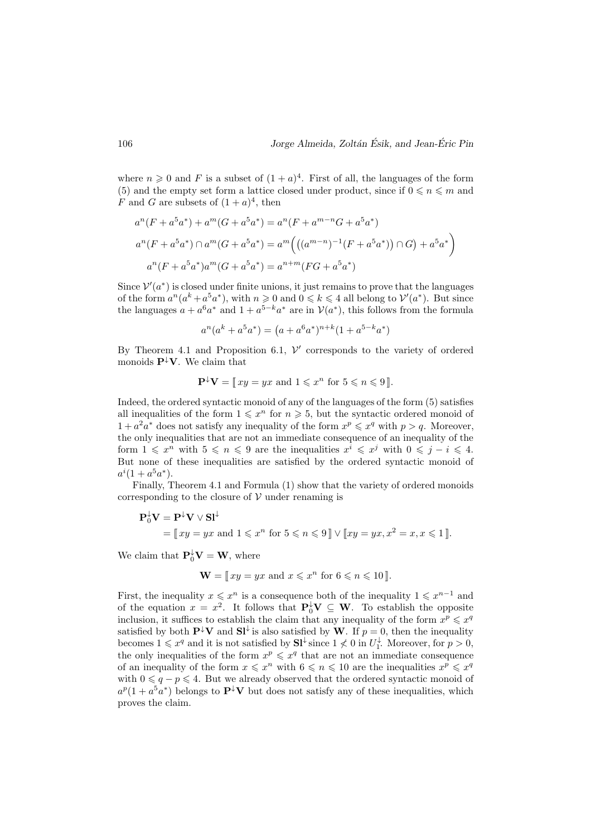where  $n \geqslant 0$  and F is a subset of  $(1+a)^4$ . First of all, the languages of the form (5) and the empty set form a lattice closed under product, since if  $0 \le n \le m$  and F and G are subsets of  $(1+a)^4$ , then

$$
a^{n}(F + a^{5}a^{*}) + a^{m}(G + a^{5}a^{*}) = a^{n}(F + a^{m-n}G + a^{5}a^{*})
$$
  

$$
a^{n}(F + a^{5}a^{*}) \cap a^{m}(G + a^{5}a^{*}) = a^{m} \Big( ((a^{m-n})^{-1}(F + a^{5}a^{*})) \cap G) + a^{5}a^{*} \Big)
$$
  

$$
a^{n}(F + a^{5}a^{*})a^{m}(G + a^{5}a^{*}) = a^{n+m}(FG + a^{5}a^{*})
$$

Since  $V'(a^*)$  is closed under finite unions, it just remains to prove that the languages of the form  $a^n(a^k + a^5a^*)$ , with  $n \ge 0$  and  $0 \le k \le 4$  all belong to  $\mathcal{V}'(a^*)$ . But since the languages  $a + a^6 a^*$  and  $1 + a^{5-k} a^*$  are in  $\mathcal{V}(a^*)$ , this follows from the formula

$$
a^{n}(a^{k} + a^{5}a^{*}) = (a + a^{6}a^{*})^{n+k}(1 + a^{5-k}a^{*})
$$

By Theorem 4.1 and Proposition 6.1,  $V'$  corresponds to the variety of ordered monoids  $\mathbf{P}^{\downarrow}\mathbf{V}$ . We claim that

$$
\mathbf{P}^{\downarrow}\mathbf{V} = [x y = y x \text{ and } 1 \leq x^n \text{ for } 5 \leq n \leq 9].
$$

Indeed, the ordered syntactic monoid of any of the languages of the form (5) satisfies all inequalities of the form  $1 \leq x^n$  for  $n \geq 5$ , but the syntactic ordered monoid of  $1 + a^2 a^*$  does not satisfy any inequality of the form  $x^p \leq x^q$  with  $p > q$ . Moreover, the only inequalities that are not an immediate consequence of an inequality of the form  $1 \leqslant x^n$  with  $5 \leqslant n \leqslant 9$  are the inequalities  $x^i \leqslant x^j$  with  $0 \leqslant j - i \leqslant 4$ . But none of these inequalities are satisfied by the ordered syntactic monoid of  $a^i(1+a^5a^*).$ 

Finally, Theorem 4.1 and Formula (1) show that the variety of ordered monoids corresponding to the closure of  $V$  under renaming is

$$
\mathbf{P}_0^{\downarrow}\mathbf{V} = \mathbf{P}^{\downarrow}\mathbf{V} \vee \mathbf{S} \mathbf{I}^{\downarrow}
$$
  
=  $\llbracket xy = yx \text{ and } 1 \leq x^n \text{ for } 5 \leq n \leq 9 \rrbracket \vee \llbracket xy = yx, x^2 = x, x \leq 1 \rrbracket.$ 

We claim that  $\mathbf{P}_0^{\downarrow} \mathbf{V} = \mathbf{W}$ , where

$$
\mathbf{W} = [x y = y x \text{ and } x \leq x^n \text{ for } 6 \leq n \leq 10].
$$

First, the inequality  $x \leq x^n$  is a consequence both of the inequality  $1 \leq x^{n-1}$  and of the equation  $x = x^2$ . It follows that  $P_0^{\downarrow} V \subseteq W$ . To establish the opposite inclusion, it suffices to establish the claim that any inequality of the form  $x^p \leq x^q$ satisfied by both  $\mathbf{P}^{\downarrow}\mathbf{V}$  and  $\mathbf{SI}^{\downarrow}$  is also satisfied by W. If  $p = 0$ , then the inequality becomes  $1 \leq x^q$  and it is not satisfied by  $S1^{\downarrow}$  since  $1 \nleq 0$  in  $U_1^{\downarrow}$ . Moreover, for  $p > 0$ , the only inequalities of the form  $x^p \leq x^q$  that are not an immediate consequence of an inequality of the form  $x \leq x^n$  with  $6 \leq n \leq 10$  are the inequalities  $x^p \leq x^q$ with  $0 \leq q - p \leq 4$ . But we already observed that the ordered syntactic monoid of  $a^p(1+a^5a^*)$  belongs to  $\mathbf{P}^{\downarrow}\mathbf{V}$  but does not satisfy any of these inequalities, which proves the claim.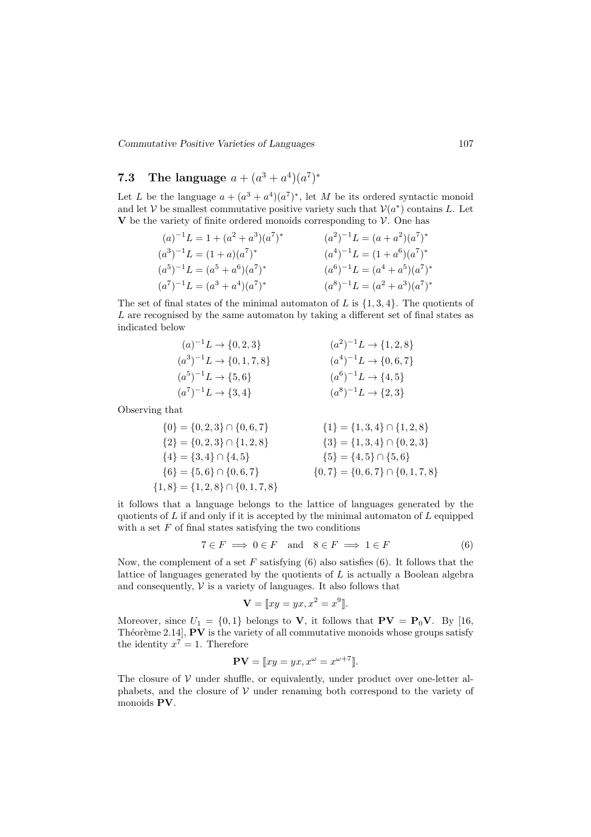Commutative Positive Varieties of Languages 107

# 7.3 The language  $a + (a^3 + a^4)(a^7)^*$

Let L be the language  $a + (a^3 + a^4)(a^7)^*$ , let M be its ordered syntactic monoid and let V be smallest commutative positive variety such that  $V(a^*)$  contains L. Let  $V$  be the variety of finite ordered monoids corresponding to  $V$ . One has

$$
(a)^{-1}L = 1 + (a^2 + a^3)(a^7)^*
$$
  
\n
$$
(a^3)^{-1}L = (1 + a)(a^7)^*
$$
  
\n
$$
(a^5)^{-1}L = (a^5 + a^6)(a^7)^*
$$
  
\n
$$
(a^7)^{-1}L = (a^5 + a^4)(a^7)^*
$$
  
\n
$$
(a^8)^{-1}L = (a^4 + a^5)(a^7)^*
$$
  
\n
$$
(a^9)^{-1}L = (a^4 + a^5)(a^7)^*
$$
  
\n
$$
(a^9)^{-1}L = (a^4 + a^5)(a^7)^*
$$

The set of final states of the minimal automaton of  $L$  is  $\{1,3,4\}$ . The quotients of L are recognised by the same automaton by taking a different set of final states as indicated below

$$
(a)^{-1}L \to \{0, 2, 3\}
$$
  
\n
$$
(a^3)^{-1}L \to \{0, 1, 7, 8\}
$$
  
\n
$$
(a^5)^{-1}L \to \{5, 6\}
$$
  
\n
$$
(a^7)^{-1}L \to \{3, 4\}
$$
  
\n
$$
(a^8)^{-1}L \to \{2, 3\}
$$
  
\n
$$
(a^9)^{-1}L \to \{1, 2, 8\}
$$
  
\n
$$
(a^9)^{-1}L \to \{0, 6, 7\}
$$
  
\n
$$
(a^9)^{-1}L \to \{4, 5\}
$$
  
\n
$$
(a^9)^{-1}L \to \{2, 3\}
$$

Observing that

$$
\{0\} = \{0, 2, 3\} \cap \{0, 6, 7\}
$$
  
\n
$$
\{2\} = \{0, 2, 3\} \cap \{1, 2, 8\}
$$
  
\n
$$
\{3\} = \{1, 3, 4\} \cap \{0, 2, 3\}
$$
  
\n
$$
\{4\} = \{3, 4\} \cap \{4, 5\}
$$
  
\n
$$
\{6\} = \{5, 6\} \cap \{0, 6, 7\}
$$
  
\n
$$
\{1\} = \{1, 3, 4\} \cap \{0, 2, 3\}
$$
  
\n
$$
\{5\} = \{4, 5\} \cap \{5, 6\}
$$
  
\n
$$
\{1, 8\} = \{1, 2, 8\} \cap \{0, 1, 7, 8\}
$$
  
\n
$$
\{1, 8\} = \{1, 2, 8\} \cap \{0, 1, 7, 8\}
$$

it follows that a language belongs to the lattice of languages generated by the quotients of  $L$  if and only if it is accepted by the minimal automaton of  $L$  equipped with a set  $F$  of final states satisfying the two conditions

$$
7 \in F \implies 0 \in F \quad \text{and} \quad 8 \in F \implies 1 \in F \tag{6}
$$

Now, the complement of a set  $F$  satisfying  $(6)$  also satisfies  $(6)$ . It follows that the lattice of languages generated by the quotients of L is actually a Boolean algebra and consequently,  $V$  is a variety of languages. It also follows that

$$
\mathbf{V} = [xy = yx, x^2 = x^9].
$$

Moreover, since  $U_1 = \{0, 1\}$  belongs to **V**, it follows that  $PV = P_0V$ . By [16, Théorème 2.14],  $PV$  is the variety of all commutative monoids whose groups satisfy the identity  $x^7 = 1$ . Therefore

$$
\mathbf{PV} = [xy = yx, x^{\omega} = x^{\omega+7}].
$$

The closure of  $V$  under shuffle, or equivalently, under product over one-letter alphabets, and the closure of  $V$  under renaming both correspond to the variety of monoids PV.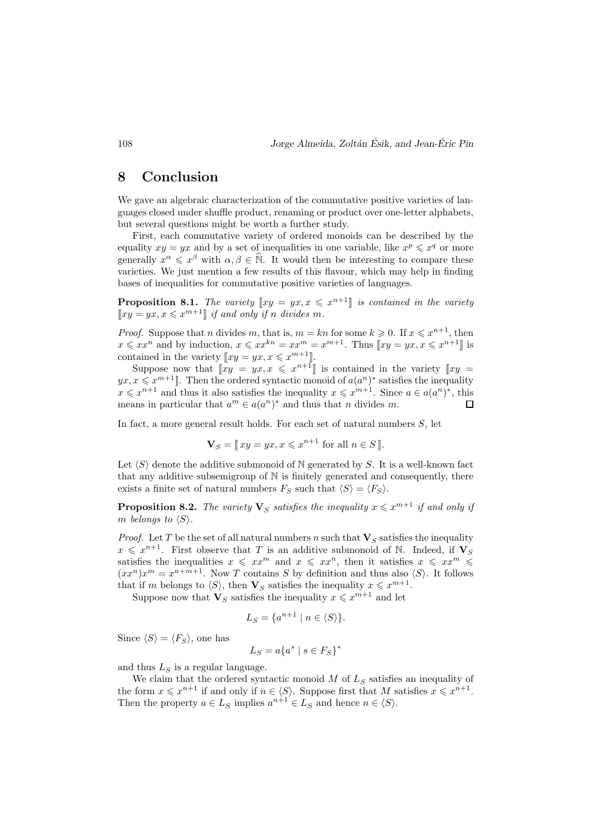## 8 Conclusion

We gave an algebraic characterization of the commutative positive varieties of languages closed under shuffle product, renaming or product over one-letter alphabets, but several questions might be worth a further study.

First, each commutative variety of ordered monoids can be described by the equality  $xy = yx$  and by a set of inequalities in one variable, like  $x^p \leq x^q$  or more generally  $x^{\alpha} \leq x^{\beta}$  with  $\alpha, \beta \in \hat{\mathbb{N}}$ . It would then be interesting to compare these varieties. We just mention a few results of this flavour, which may help in finding bases of inequalities for commutative positive varieties of languages.

**Proposition 8.1.** The variety  $[xy = yx, x \leq x^{n+1}]$  is contained in the variety  $\llbracket xy = yx, x \leqslant x^{m+1} \rrbracket$  if and only if n divides m.

*Proof.* Suppose that *n* divides *m*, that is,  $m = kn$  for some  $k \geq 0$ . If  $x \leq x^{n+1}$ , then  $x \leqslant xx^n$  and by induction,  $x \leqslant xx^{kn} = xx^m = x^{m+1}$ . Thus  $\llbracket xy = yx, x \leqslant x^{n+1} \rrbracket$  is contained in the variety  $[xy = yx, x \leq x^{m+1}].$ 

Suppose now that  $[xy = yx, x \leq x^{n+1}]$  is contained in the variety  $[xy = x, x \leq x^{n+1}]$  $yx, x \leqslant x^{m+1}$ . Then the ordered syntactic monoid of  $a(a^n)^*$  satisfies the inequality  $x \leq x^{n+1}$  and thus it also satisfies the inequality  $x \leq x^{m+1}$ . Since  $a \in a(a^n)^*$ , this means in particular that  $a^m \in a(a^n)^*$  and thus that n divides m.  $\Box$ 

In fact, a more general result holds. For each set of natural numbers S, let

$$
\mathbf{V}_S = [x y = y x, x \leqslant x^{n+1} \text{ for all } n \in S].
$$

Let  $\langle S \rangle$  denote the additive submonoid of N generated by S. It is a well-known fact that any additive subsemigroup of N is finitely generated and consequently, there exists a finite set of natural numbers  $F_S$  such that  $\langle S \rangle = \langle F_S \rangle$ .

**Proposition 8.2.** The variety  $\mathbf{V}_S$  satisfies the inequality  $x \leq x^{m+1}$  if and only if m belongs to  $\langle S \rangle$ .

*Proof.* Let T be the set of all natural numbers n such that  $V<sub>S</sub>$  satisfies the inequality  $x \leqslant x^{n+1}$ . First observe that T is an additive submonoid of N. Indeed, if  $V_S$ satisfies the inequalities  $x \leqslant xx^m$  and  $x \leqslant xx^n$ , then it satisfies  $x \leqslant xx^m \leqslant$  $(xx^n)x^m = x^{n+m+1}$ . Now T contains S by definition and thus also  $\langle S \rangle$ . It follows that if m belongs to  $\langle S \rangle$ , then  $\mathbf{V}_S$  satisfies the inequality  $x \leq x^{m+1}$ .

Suppose now that  $\mathbf{V}_S$  satisfies the inequality  $x \leqslant x^{m+1}$  and let

$$
L_S = \{a^{n+1} \mid n \in \langle S \rangle\}.
$$

Since  $\langle S \rangle = \langle F_S \rangle$ , one has

$$
L_S = a\{a^s \mid s \in F_S\}^*
$$

and thus  $L<sub>S</sub>$  is a regular language.

We claim that the ordered syntactic monoid  $M$  of  $L<sub>S</sub>$  satisfies an inequality of the form  $x \leq x^{n+1}$  if and only if  $n \in \langle S \rangle$ . Suppose first that M satisfies  $x \leq x^{n+1}$ . Then the property  $a \in L_S$  implies  $a^{n+1} \in L_S$  and hence  $n \in \langle S \rangle$ .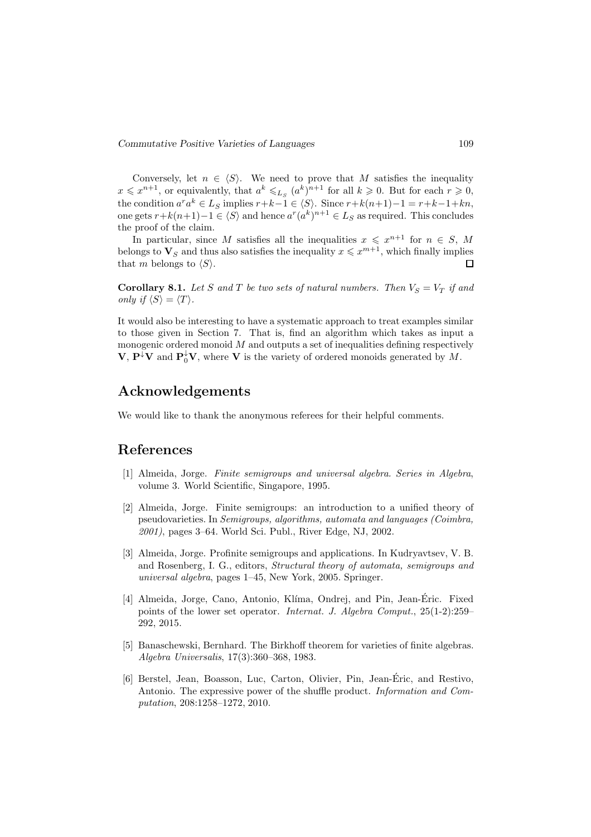Conversely, let  $n \in \langle S \rangle$ . We need to prove that M satisfies the inequality  $x \leqslant x^{n+1}$ , or equivalently, that  $a^k \leqslant_{L_S} (a^k)^{n+1}$  for all  $k \geqslant 0$ . But for each  $r \geqslant 0$ , the condition  $a^r a^k \in L_S$  implies  $r+k-1 \in \langle S \rangle$ . Since  $r+k(n+1)-1 = r+k-1+kn$ , one gets  $r+k(n+1)-1 \in \langle S \rangle$  and hence  $a^r(a^k)^{n+1} \in L_S$  as required. This concludes the proof of the claim.

In particular, since M satisfies all the inequalities  $x \leqslant x^{n+1}$  for  $n \in S$ , M belongs to  $\mathbf{V}_S$  and thus also satisfies the inequality  $x \leqslant x^{m+1}$ , which finally implies that m belongs to  $\langle S \rangle$ .  $\Box$ 

**Corollary 8.1.** Let S and T be two sets of natural numbers. Then  $V_S = V_T$  if and only if  $\langle S \rangle = \langle T \rangle$ .

It would also be interesting to have a systematic approach to treat examples similar to those given in Section 7. That is, find an algorithm which takes as input a monogenic ordered monoid  $M$  and outputs a set of inequalities defining respectively  $\mathbf{V}, \mathbf{P}^{\downarrow}\mathbf{V}$  and  $\mathbf{P}_{0}^{\downarrow}\mathbf{V}$ , where  $\mathbf{V}$  is the variety of ordered monoids generated by M.

## Acknowledgements

We would like to thank the anonymous referees for their helpful comments.

## References

- [1] Almeida, Jorge. Finite semigroups and universal algebra. Series in Algebra, volume 3. World Scientific, Singapore, 1995.
- [2] Almeida, Jorge. Finite semigroups: an introduction to a unified theory of pseudovarieties. In Semigroups, algorithms, automata and languages (Coimbra, 2001), pages 3–64. World Sci. Publ., River Edge, NJ, 2002.
- [3] Almeida, Jorge. Profinite semigroups and applications. In Kudryavtsev, V. B. and Rosenberg, I. G., editors, Structural theory of automata, semigroups and universal algebra, pages 1–45, New York, 2005. Springer.
- [4] Almeida, Jorge, Cano, Antonio, Klíma, Ondrej, and Pin, Jean-Éric. Fixed points of the lower set operator. Internat. J. Algebra Comput., 25(1-2):259– 292, 2015.
- [5] Banaschewski, Bernhard. The Birkhoff theorem for varieties of finite algebras. Algebra Universalis, 17(3):360–368, 1983.
- [6] Berstel, Jean, Boasson, Luc, Carton, Olivier, Pin, Jean-Éric, and Restivo, Antonio. The expressive power of the shuffle product. Information and Computation, 208:1258–1272, 2010.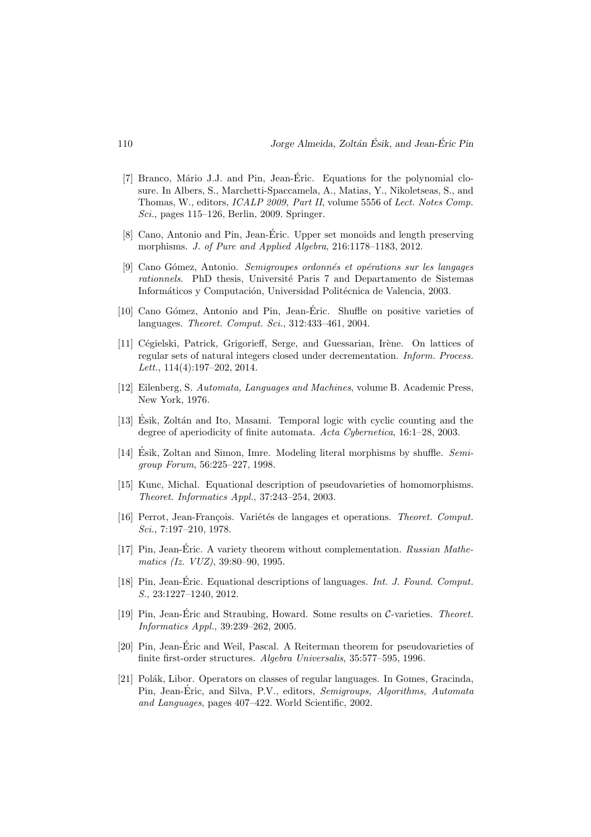- [7] Branco, Mário J.J. and Pin, Jean-Éric. Equations for the polynomial closure. In Albers, S., Marchetti-Spaccamela, A., Matias, Y., Nikoletseas, S., and Thomas, W., editors, ICALP 2009, Part II, volume 5556 of Lect. Notes Comp. Sci., pages 115–126, Berlin, 2009. Springer.
- [8] Cano, Antonio and Pin, Jean-Eric. Upper set monoids and length preserving ´ morphisms. J. of Pure and Applied Algebra, 216:1178–1183, 2012.
- [9] Cano Gómez, Antonio. Semigroupes ordonnés et opérations sur les langages rationnels. PhD thesis, Université Paris 7 and Departamento de Sistemas Informáticos y Computación, Universidad Politécnica de Valencia, 2003.
- [10] Cano G´omez, Antonio and Pin, Jean-Eric. Shuffle on positive varieties of ´ languages. Theoret. Comput. Sci., 312:433–461, 2004.
- [11] Cégielski, Patrick, Grigorieff, Serge, and Guessarian, Irène. On lattices of regular sets of natural integers closed under decrementation. Inform. Process. Lett., 114(4):197–202, 2014.
- [12] Eilenberg, S. Automata, Languages and Machines, volume B. Academic Press, New York, 1976.
- [13] Ésik, Zoltán and Ito, Masami. Temporal logic with cyclic counting and the degree of aperiodicity of finite automata. Acta Cybernetica, 16:1–28, 2003.
- [14] Esik, Zoltan and Simon, Imre. Modeling literal morphisms by shuffle.  $Semi$ group Forum, 56:225–227, 1998.
- [15] Kunc, Michal. Equational description of pseudovarieties of homomorphisms. Theoret. Informatics Appl., 37:243–254, 2003.
- [16] Perrot, Jean-François. Variétés de langages et operations. Theoret. Comput. Sci., 7:197–210, 1978.
- [17] Pin, Jean-Éric. A variety theorem without complementation.  $Russian$  Mathematics (Iz. VUZ), 39:80–90, 1995.
- [18] Pin, Jean-Éric. Equational descriptions of languages. *Int. J. Found. Comput.* S., 23:1227–1240, 2012.
- [19] Pin, Jean-Éric and Straubing, Howard. Some results on C-varieties. Theoret. Informatics Appl., 39:239–262, 2005.
- [20] Pin, Jean-Eric and Weil, Pascal. A Reiterman theorem for pseudovarieties of ´ finite first-order structures. Algebra Universalis, 35:577–595, 1996.
- [21] Polák, Libor. Operators on classes of regular languages. In Gomes, Gracinda, Pin, Jean-Éric, and Silva, P.V., editors, *Semigroups, Algorithms, Automata* and Languages, pages 407–422. World Scientific, 2002.